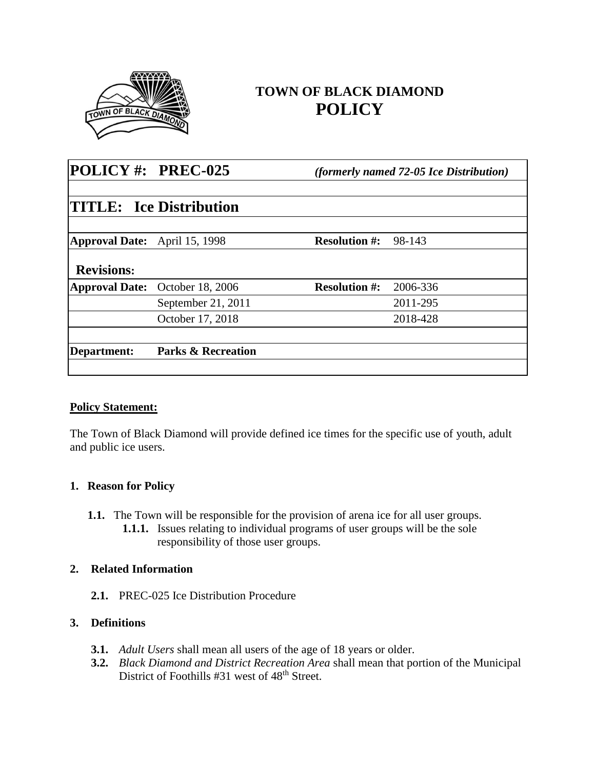

# **TOWN OF BLACK DIAMOND POLICY**

| POLICY#: PREC-025                    |                                | <i>(formerly named 72-05 Ice Distribution)</i> |          |
|--------------------------------------|--------------------------------|------------------------------------------------|----------|
|                                      |                                |                                                |          |
|                                      | <b>TITLE:</b> Ice Distribution |                                                |          |
|                                      |                                |                                                |          |
| <b>Approval Date:</b> April 15, 1998 |                                | <b>Resolution #:</b>                           | 98-143   |
| <b>Revisions:</b>                    |                                |                                                |          |
| <b>Approval Date:</b>                | October 18, 2006               | <b>Resolution #:</b>                           | 2006-336 |
|                                      | September 21, 2011             |                                                | 2011-295 |
|                                      | October 17, 2018               |                                                | 2018-428 |
| Department:                          | <b>Parks &amp; Recreation</b>  |                                                |          |
|                                      |                                |                                                |          |

#### **Policy Statement:**

The Town of Black Diamond will provide defined ice times for the specific use of youth, adult and public ice users.

#### **1. Reason for Policy**

**1.1.** The Town will be responsible for the provision of arena ice for all user groups. **1.1.1.** Issues relating to individual programs of user groups will be the sole responsibility of those user groups.

## **2. Related Information**

**2.1.** PREC-025 Ice Distribution Procedure

## **3. Definitions**

- **3.1.** *Adult Users* shall mean all users of the age of 18 years or older.
- **3.2.** *Black Diamond and District Recreation Area* shall mean that portion of the Municipal District of Foothills #31 west of 48<sup>th</sup> Street.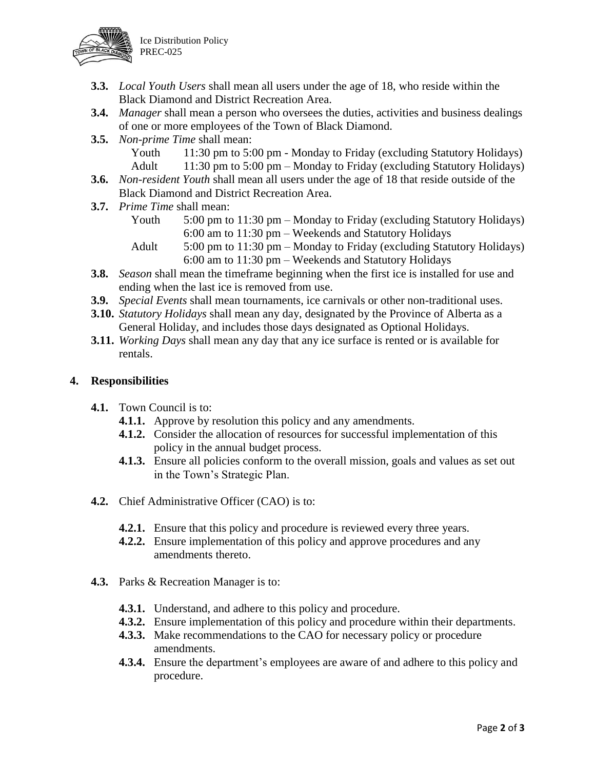



- **3.3.** *Local Youth Users* shall mean all users under the age of 18, who reside within the Black Diamond and District Recreation Area.
- **3.4.** *Manager* shall mean a person who oversees the duties, activities and business dealings of one or more employees of the Town of Black Diamond.
- **3.5.** *Non-prime Time* shall mean:

Youth 11:30 pm to 5:00 pm - Monday to Friday (excluding Statutory Holidays) Adult 11:30 pm to 5:00 pm – Monday to Friday (excluding Statutory Holidays)

- **3.6.** *Non-resident Youth* shall mean all users under the age of 18 that reside outside of the Black Diamond and District Recreation Area.
- **3.7.** *Prime Time* shall mean:
	- Youth 5:00 pm to 11:30 pm Monday to Friday (excluding Statutory Holidays) 6:00 am to 11:30 pm – Weekends and Statutory Holidays
	- Adult 5:00 pm to 11:30 pm Monday to Friday (excluding Statutory Holidays) 6:00 am to 11:30 pm – Weekends and Statutory Holidays
- **3.8.** *Season* shall mean the timeframe beginning when the first ice is installed for use and ending when the last ice is removed from use.
- **3.9.** *Special Events* shall mean tournaments, ice carnivals or other non-traditional uses.
- **3.10.** *Statutory Holidays* shall mean any day, designated by the Province of Alberta as a General Holiday, and includes those days designated as Optional Holidays.
- **3.11.** *Working Days* shall mean any day that any ice surface is rented or is available for rentals.

### **4. Responsibilities**

- **4.1.** Town Council is to:
	- **4.1.1.** Approve by resolution this policy and any amendments.
	- **4.1.2.** Consider the allocation of resources for successful implementation of this policy in the annual budget process.
	- **4.1.3.** Ensure all policies conform to the overall mission, goals and values as set out in the Town's Strategic Plan.
- **4.2.** Chief Administrative Officer (CAO) is to:
	- **4.2.1.** Ensure that this policy and procedure is reviewed every three years.
	- **4.2.2.** Ensure implementation of this policy and approve procedures and any amendments thereto.
- **4.3.** Parks & Recreation Manager is to:
	- **4.3.1.** Understand, and adhere to this policy and procedure.
	- **4.3.2.** Ensure implementation of this policy and procedure within their departments.
	- **4.3.3.** Make recommendations to the CAO for necessary policy or procedure amendments.
	- **4.3.4.** Ensure the department's employees are aware of and adhere to this policy and procedure.